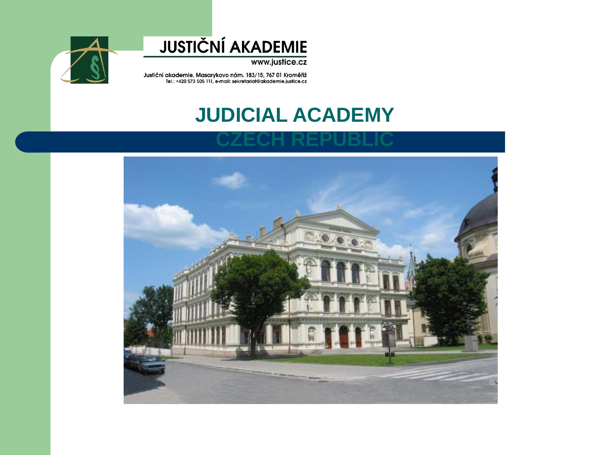

www.justice.cz



Justiční akademie, Masarykovo nám. 183/15, 767 01 Kroměříž<br>Tel.: +420 573 505 111, e-mail: sekretariat@akademie.justice.cz

#### **JUDICIAL ACADEMY**

#### **CZECH REPUBLIC**

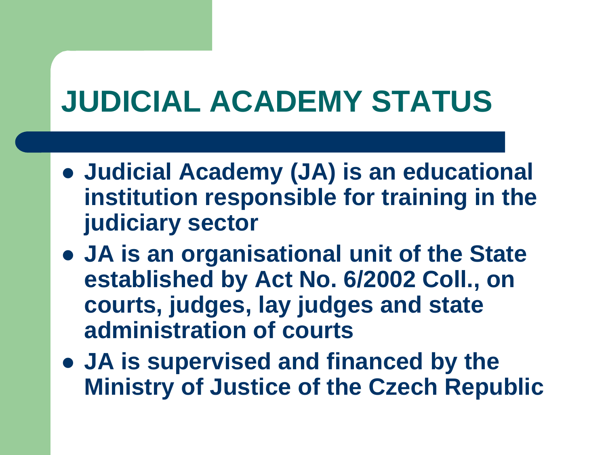# **JUDICIAL ACADEMY STATUS**

- **Judicial Academy (JA) is an educational institution responsible for training in the judiciary sector**
- **JA is an organisational unit of the State established by Act No. 6/2002 Coll., on courts, judges, lay judges and state administration of courts**
- **JA is supervised and financed by the Ministry of Justice of the Czech Republic**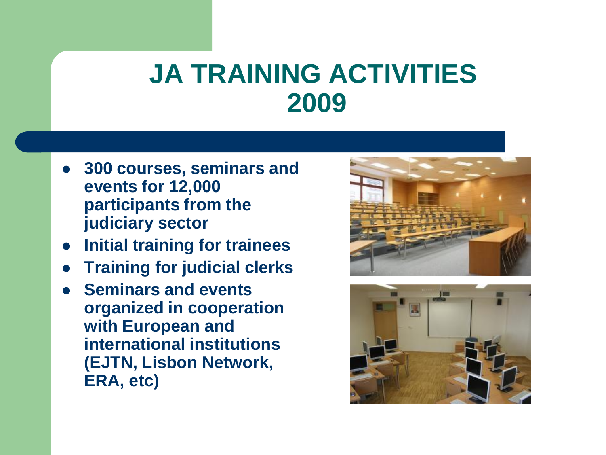### **JA TRAINING ACTIVITIES 2009**

- **300 courses, seminars and events for 12,000 participants from the judiciary sector**
- **Initial training for trainees**
- **Training for judicial clerks**
- **Seminars and events organized in cooperation with European and international institutions (EJTN, Lisbon Network, ERA, etc)**



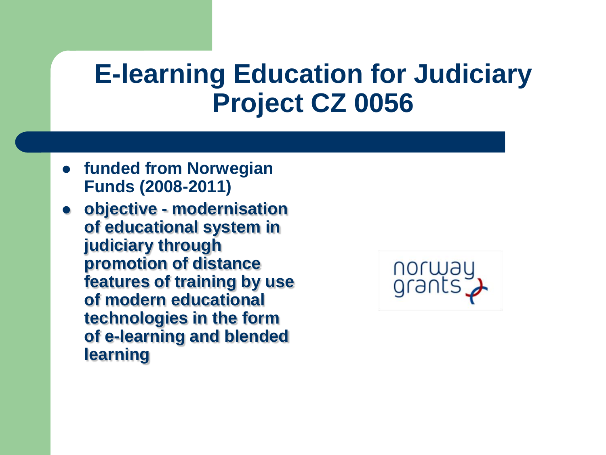### **E-learning Education for Judiciary Project CZ 0056**

- **funded from Norwegian Funds (2008-2011)**
- **objective - modernisation of educational system in judiciary through promotion of distance features of training by use of modern educational technologies in the form of e-learning and blended learning**

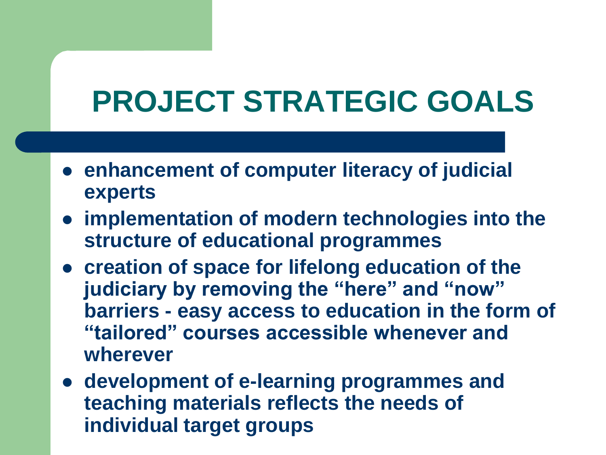# **PROJECT STRATEGIC GOALS**

- **enhancement of computer literacy of judicial experts**
- **implementation of modern technologies into the structure of educational programmes**
- **creation of space for lifelong education of the judiciary by removing the "here" and "now" barriers - easy access to education in the form of "tailored" courses accessible whenever and wherever**
- **development of e-learning programmes and teaching materials reflects the needs of individual target groups**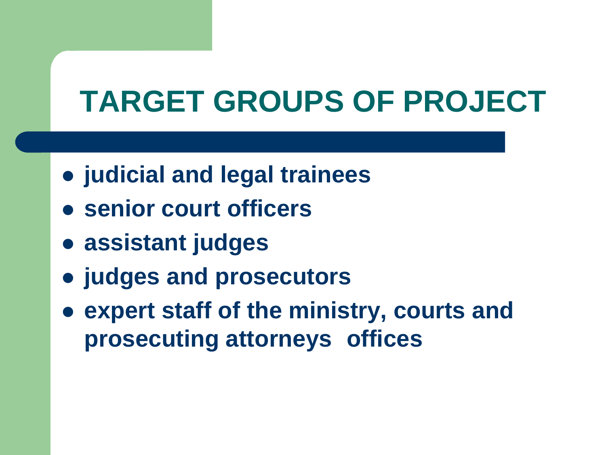# **TARGET GROUPS OF PROJECT**

- **judicial and legal trainees**
- **senior court officers**
- **assistant judges**
- **judges and prosecutors**
- **expert staff of the ministry, courts and prosecuting attorneys offices**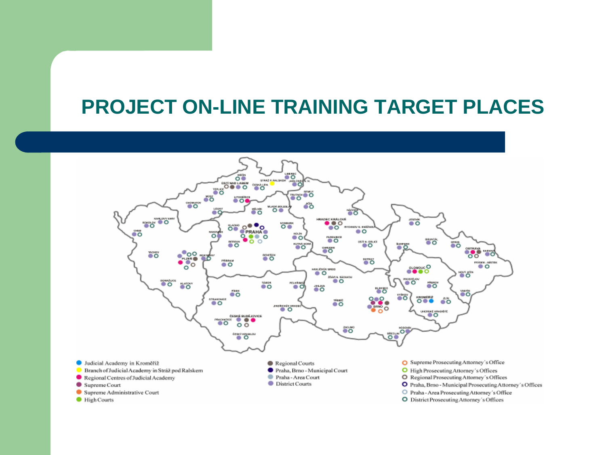#### **PROJECT ON-LINE TRAINING TARGET PLACES**

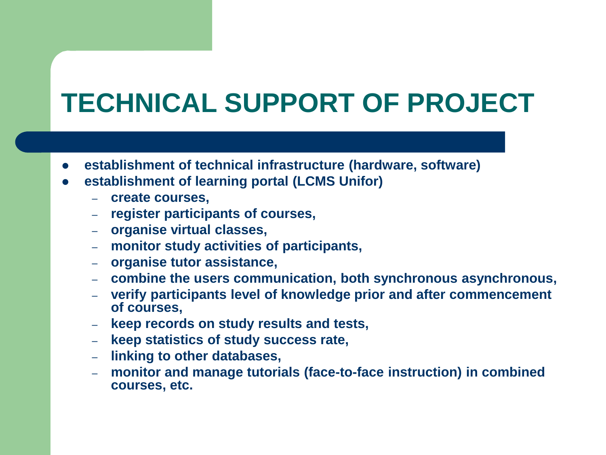# **TECHNICAL SUPPORT OF PROJECT**

- **establishment of technical infrastructure (hardware, software)**
- **establishment of learning portal (LCMS Unifor)**
	- **create courses,**
	- **register participants of courses,**
	- **organise virtual classes,**
	- **monitor study activities of participants,**
	- **organise tutor assistance,**
	- **combine the users communication, both synchronous asynchronous,**
	- **verify participants level of knowledge prior and after commencement of courses,**
	- **keep records on study results and tests,**
	- **keep statistics of study success rate,**
	- **linking to other databases,**
	- **monitor and manage tutorials (face-to-face instruction) in combined courses, etc.**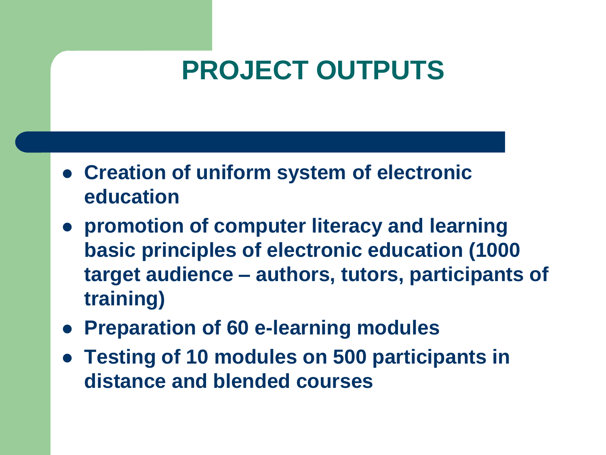## **PROJECT OUTPUTS**

- **Creation of uniform system of electronic education**
- **promotion of computer literacy and learning basic principles of electronic education (1000 target audience – authors, tutors, participants of training)**
- **Preparation of 60 e-learning modules**
- **Testing of 10 modules on 500 participants in distance and blended courses**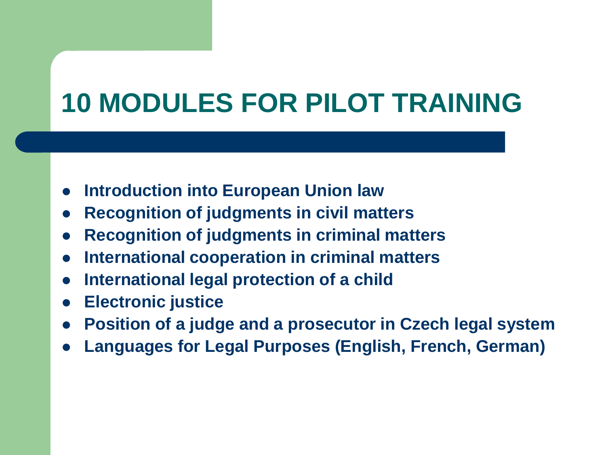# **10 MODULES FOR PILOT TRAINING**

- **Introduction into European Union law**
- **Recognition of judgments in civil matters**
- **Recognition of judgments in criminal matters**
- **International cooperation in criminal matters**
- **International legal protection of a child**
- **Electronic justice**
- **Position of a judge and a prosecutor in Czech legal system**
- **Languages for Legal Purposes (English, French, German)**